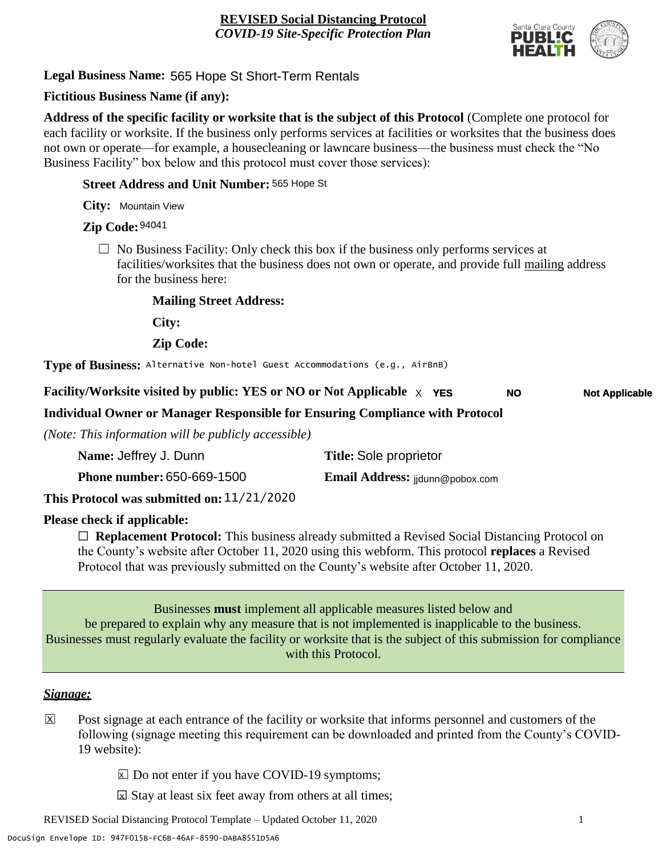

**Legal Business Name:** 565 Hope St Short-Term Rentals

## **Fictitious Business Name (if any):**

**Address of the specific facility or worksite that is the subject of this Protocol** (Complete one protocol for each facility or worksite. If the business only performs services at facilities or worksites that the business does not own or operate—for example, a housecleaning or lawncare business—the business must check the "No Business Facility" box below and this protocol must cover those services):

#### **Street Address and Unit Number:** 565 Hope St

**City:** Mountain View

## **Zip Code:** 94041

 $\Box$  No Business Facility: Only check this box if the business only performs services at facilities/worksites that the business does not own or operate, and provide full mailing address for the business here:

#### **Mailing Street Address:**

**City:**

**Zip Code:**

**Type of Business:** Alternative Non-hotel Guest Accommodations (e.g., AirBnB)

#### **Facility/Worksite visited by public: YES or NO or Not Applicable**  $\times$  **YES NO Not Applicable**

## **Individual Owner or Manager Responsible for Ensuring Compliance with Protocol**

*(Note: This information will be publicly accessible)*

| Name: Jeffrey J. Dunn             |            | <b>Title: Sole proprietor</b>   |
|-----------------------------------|------------|---------------------------------|
| <b>Phone number: 650-669-1500</b> |            | Email Address: jjdunn@pobox.com |
| .                                 | 11/21/2020 |                                 |

**This Protocol was submitted on:** 11/21/2020

## **Please check if applicable:**

☐ **Replacement Protocol:** This business already submitted a Revised Social Distancing Protocol on the County's website after October 11, 2020 using this webform. This protocol **replaces** a Revised Protocol that was previously submitted on the County's website after October 11, 2020.

Businesses **must** implement all applicable measures listed below and be prepared to explain why any measure that is not implemented is inapplicable to the business. Businesses must regularly evaluate the facility or worksite that is the subject of this submission for compliance with this Protocol.

#### *Signage:*

- Post signage at each entrance of the facility or worksite that informs personnel and customers of the following (signage meeting this requirement can be downloaded and printed from the County's COVID-19 website):  $|\overline{x}|$ 
	- $\boxed{\times}$  Do not enter if you have COVID-19 symptoms;
	- $\boxtimes$  Stay at least six feet away from others at all times;

REVISED Social Distancing Protocol Template – Updated October 11, 2020 1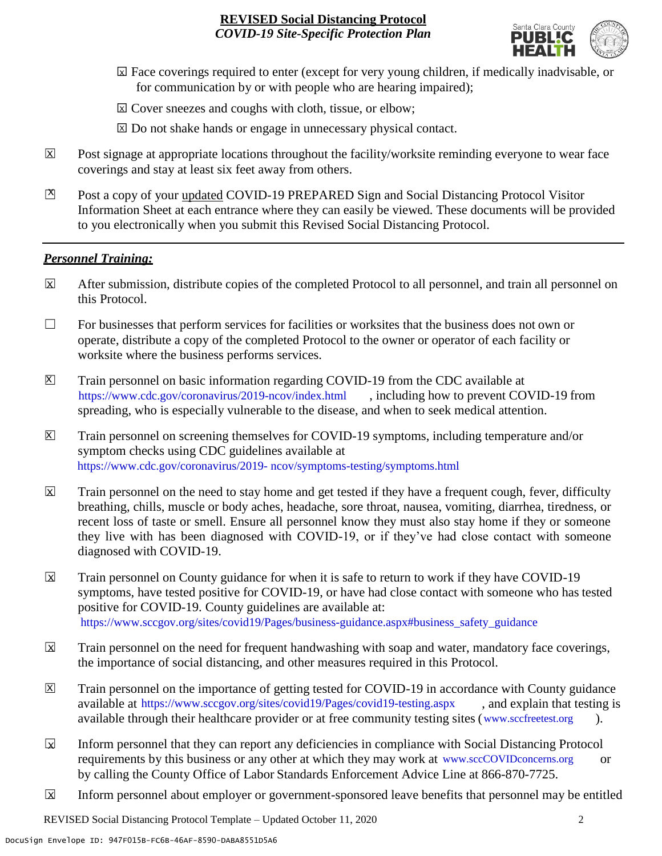

- ☐ Face coverings required to enter (except for very young children, if medically inadvisable, or X for communication by or with people who are hearing impaired);
- ⊠ Cover sneezes and coughs with cloth, tissue, or elbow;
- ⊠ Do not shake hands or engage in unnecessary physical contact.
- Post signage at appropriate locations throughout the facility/worksite reminding everyone to wear face coverings and stay at least six feet away from others. X
- Post a copy of your updated COVID-19 PREPARED Sign and Social Distancing Protocol Visitor Information Sheet at each entrance where they can easily be viewed. These documents will be provided to you electronically when you submit this Revised Social Distancing Protocol.  $\mathbb{Z}$

#### *Personnel Training:*

- After submission, distribute copies of the completed Protocol to all personnel, and train all personnel on this Protocol.  $\mathbf x$
- $\Box$  For businesses that perform services for facilities or worksites that the business does not own or operate, distribute a copy of the completed Protocol to the owner or operator of each facility or worksite where the business performs services.
- Train personnel on basic information regarding COVID-19 from the CDC available at [https://www.cdc.gov/coronavirus/2019-ncov/index.html,](https://www.cdc.gov/coronavirus/2019-ncov/index.html) including how to prevent COVID-19 from spreading, who is especially vulnerable to the disease, and when to seek medical attention.  $\mathsf{X}$
- Train personnel on screening themselves for COVID-19 symptoms, including temperature and/or symptom checks using CDC guidelines available at [https://www.cdc.gov/coronavirus/2019-](https://www.cdc.gov/coronavirus/2019-ncov/symptoms-testing/symptoms.html) [ncov/symptoms-testing/symptoms.html.](https://www.cdc.gov/coronavirus/2019-ncov/symptoms-testing/symptoms.html) https://www.cdc.gov/coronavirus/2019- ncov/symptoms-testing/symptoms.html  $|\mathsf{X}|$
- Train personnel on the need to stay home and get tested if they have a frequent cough, fever, difficulty breathing, chills, muscle or body aches, headache, sore throat, nausea, vomiting, diarrhea, tiredness, or recent loss of taste or smell. Ensure all personnel know they must also stay home if they or someone they live with has been diagnosed with COVID-19, or if they've had close contact with someone diagnosed with COVID-19.  $\mathbf x$
- Train personnel on County guidance for when it is safe to return to work if they have COVID-19 symptoms, have tested positive for COVID-19, or have had close contact with someone who has tested positive for COVID-19. County guidelines are available at: [https://www.sccgov.org/sites/covid19/Pages/business-guidance.aspx#business\\_safety\\_guidance.](https://www.sccgov.org/sites/covid19/Pages/business-guidance.aspx#business_safety_guidance.) https://www.sccgov.org/sites/covid19/Pages/business-guidance.aspx#business\_safety\_guidance  $\overline{\mathbf{x}}$
- Train personnel on the need for frequent handwashing with soap and water, mandatory face coverings, the importance of social distancing, and other measures required in this Protocol.  $\overline{\mathsf{x}}$
- Train personnel on the importance of getting tested for COVID-19 in accordance with County guidance available at [https://www.sccgov.org/sites/covid19/Pages/covid19-testing.aspx,](https://www.sccgov.org/sites/covid19/Pages/covid19-testing.aspx) and explain that testing is available through their healthcare provider or at free community testing sites [\(www.sccfreetest.org](http://www.sccfreetest.org/) ).  $\vert X \vert$
- Inform personnel that they can report any deficiencies in compliance with Social Distancing Protocol requirements by this business or any other at which they may work at [www.sccCOVIDconcerns.org](http://www.scccovidconcerns.org/) or by calling the County Office of Labor Standards Enforcement Advice Line at 866-870-7725.  $\overline{\mathbf{x}}$
- Inform personnel about employer or government-sponsored leave benefits that personnel may be entitled  $\boxtimes$

REVISED Social Distancing Protocol Template – Updated October 11, 2020 2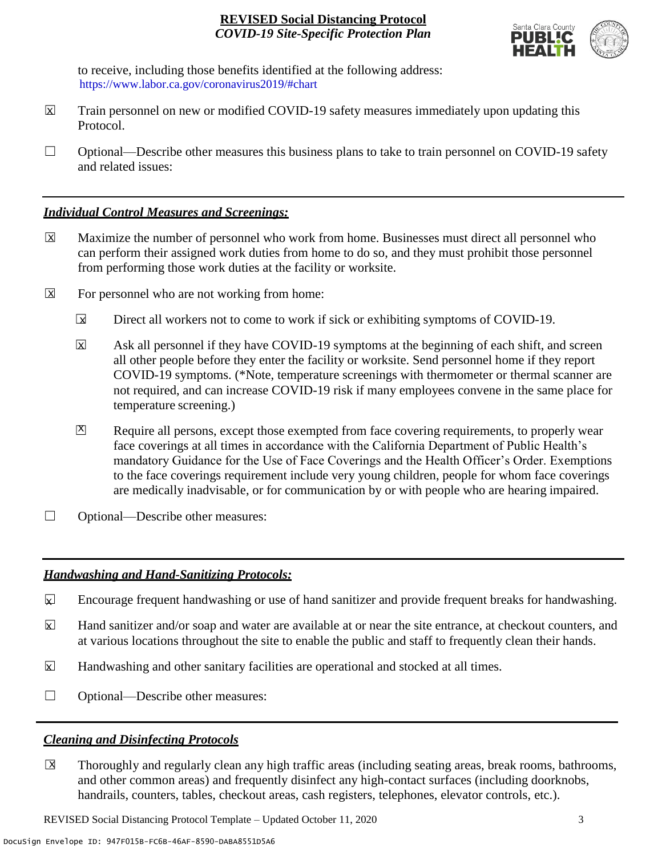

to receive, including those benefits identified at the following address: [https://www.labor.ca.gov/coronavirus2019/#chart.](https://www.labor.ca.gov/coronavirus2019/#chart) https://www.labor.ca.gov/coronavirus2019/#chart

- Train personnel on new or modified COVID-19 safety measures immediately upon updating this Protocol.  $\boxtimes$
- $\Box$  Optional—Describe other measures this business plans to take to train personnel on COVID-19 safety and related issues:

#### *Individual Control Measures and Screenings:*

- Maximize the number of personnel who work from home. Businesses must direct all personnel who can perform their assigned work duties from home to do so, and they must prohibit those personnel from performing those work duties at the facility or worksite.  $|\overline{X}|$
- For personnel who are not working from home:  $\boxtimes$ 
	- Direct all workers not to come to work if sick or exhibiting symptoms of COVID-19.  $\overline{\mathbf{x}}$
	- Ask all personnel if they have COVID-19 symptoms at the beginning of each shift, and screen all other people before they enter the facility or worksite. Send personnel home if they report COVID-19 symptoms. (\*Note, temperature screenings with thermometer or thermal scanner are not required, and can increase COVID-19 risk if many employees convene in the same place for temperature screening.) X
	- Require all persons, except those exempted from face covering requirements, to properly wear face coverings at all times in accordance with the California Department of Public Health's mandatory Guidance for the Use of Face Coverings and the Health Officer's Order. Exemptions to the face coverings requirement include very young children, people for whom face coverings are medically inadvisable, or for communication by or with people who are hearing impaired.  $\mathbf{X}$
- ☐ Optional—Describe other measures:

## *Handwashing and Hand-Sanitizing Protocols:*

- Encourage frequent handwashing or use of hand sanitizer and provide frequent breaks for handwashing.  $\mathbf{x}$
- Hand sanitizer and/or soap and water are available at or near the site entrance, at checkout counters, and at various locations throughout the site to enable the public and staff to frequently clean their hands.  $\overline{\mathbf{x}}$
- Handwashing and other sanitary facilities are operational and stocked at all times.  $\mathbf{x}$
- ☐ Optional—Describe other measures:

## *Cleaning and Disinfecting Protocols*

☐ Thoroughly and regularly clean any high traffic areas (including seating areas, break rooms, bathrooms, and other common areas) and frequently disinfect any high-contact surfaces (including doorknobs, handrails, counters, tables, checkout areas, cash registers, telephones, elevator controls, etc.).  $\overline{\mathsf{x}}$ 

REVISED Social Distancing Protocol Template – Updated October 11, 2020 3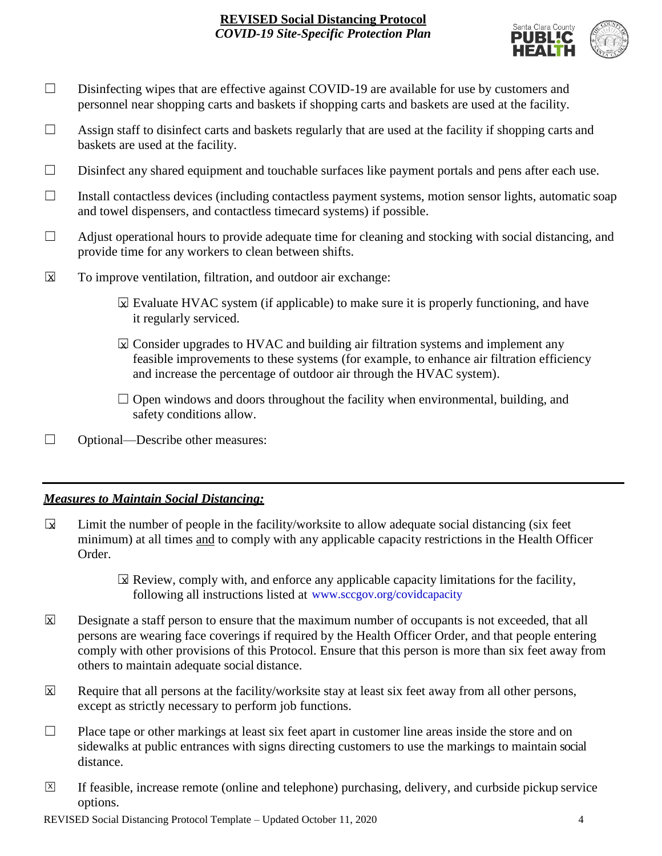

- □ Disinfecting wipes that are effective against COVID-19 are available for use by customers and personnel near shopping carts and baskets if shopping carts and baskets are used at the facility.
- $\Box$  Assign staff to disinfect carts and baskets regularly that are used at the facility if shopping carts and baskets are used at the facility.
- ☐ Disinfect any shared equipment and touchable surfaces like payment portals and pens after each use.
- ☐ Install contactless devices (including contactless payment systems, motion sensor lights, automatic soap and towel dispensers, and contactless timecard systems) if possible.
- $\Box$  Adjust operational hours to provide adequate time for cleaning and stocking with social distancing, and provide time for any workers to clean between shifts.
- To improve ventilation, filtration, and outdoor air exchange:  $\overline{\mathsf{x}}$ 
	- $\boxtimes$  Evaluate HVAC system (if applicable) to make sure it is properly functioning, and have it regularly serviced.
	- $\boxtimes$  Consider upgrades to HVAC and building air filtration systems and implement any feasible improvements to these systems (for example, to enhance air filtration efficiency and increase the percentage of outdoor air through the HVAC system).
	- $\Box$  Open windows and doors throughout the facility when environmental, building, and safety conditions allow.
- ☐ Optional—Describe other measures:

## *Measures to Maintain Social Distancing:*

- Limit the number of people in the facility/worksite to allow adequate social distancing (six feet minimum) at all times and to comply with any applicable capacity restrictions in the Health Officer Order.  $\mathbf{r}$ 
	- $\boxtimes$  Review, comply with, and enforce any applicable capacity limitations for the facility, following all instructions listed at www.sccgov.org/covidcapacity
- Designate a staff person to ensure that the maximum number of occupants is not exceeded, that all persons are wearing face coverings if required by the Health Officer Order, and that people entering comply with other provisions of this Protocol. Ensure that this person is more than six feet away from others to maintain adequate social distance.  $\overline{\mathsf{x}}$
- Require that all persons at the facility/worksite stay at least six feet away from all other persons, except as strictly necessary to perform job functions. X
- $\Box$  Place tape or other markings at least six feet apart in customer line areas inside the store and on sidewalks at public entrances with signs directing customers to use the markings to maintain social distance.
- ☐ If feasible, increase remote (online and telephone) purchasing, delivery, and curbside pickup service options.  $\overline{X}$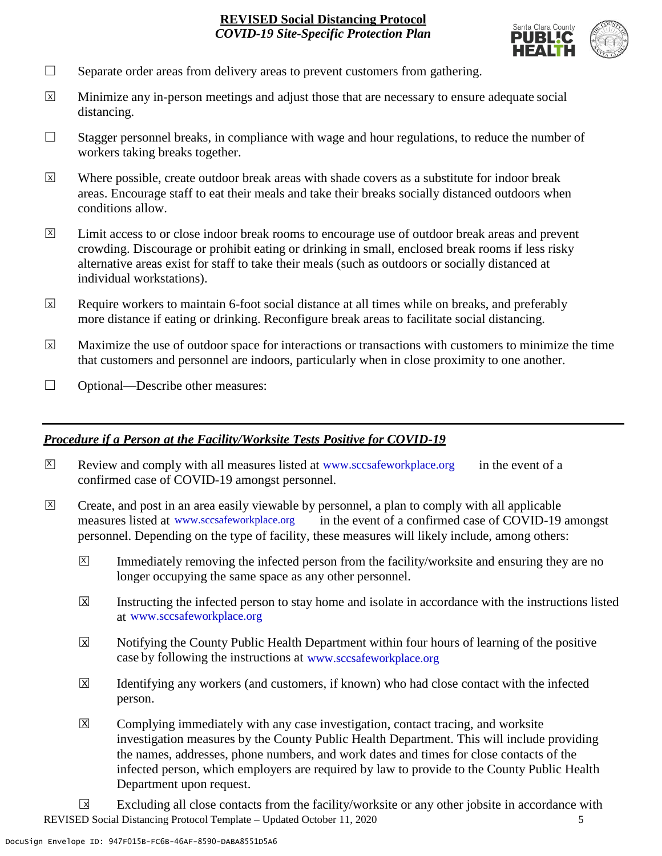

- $\Box$  Separate order areas from delivery areas to prevent customers from gathering.
- Minimize any in-person meetings and adjust those that are necessary to ensure adequate social distancing.  $\overline{x}$
- $\Box$  Stagger personnel breaks, in compliance with wage and hour regulations, to reduce the number of workers taking breaks together.
- Where possible, create outdoor break areas with shade covers as a substitute for indoor break areas. Encourage staff to eat their meals and take their breaks socially distanced outdoors when conditions allow. X
- Limit access to or close indoor break rooms to encourage use of outdoor break areas and prevent crowding. Discourage or prohibit eating or drinking in small, enclosed break rooms if less risky alternative areas exist for staff to take their meals (such as outdoors or socially distanced at individual workstations).  $\overline{X}$
- Require workers to maintain 6-foot social distance at all times while on breaks, and preferably more distance if eating or drinking. Reconfigure break areas to facilitate social distancing. X
- Maximize the use of outdoor space for interactions or transactions with customers to minimize the time that customers and personnel are indoors, particularly when in close proximity to one another. X
- ☐ Optional—Describe other measures:

#### *Procedure if a Person at the Facility/Worksite Tests Positive for COVID-19*

- $\boxtimes$  Review and comply with all measures listed at [www.sccsafeworkplace.org](http://www.sccsafeworkplace.org/) in the event of a confirmed case of COVID-19 amongst personnel. X
- ☐ Create, and post in an area easily viewable by personnel, a plan to comply with all applicable in the event of a confirmed case of COVID-19 amongst personnel. Depending on the type of facility, these measures will likely include, among others: measures listed at www.sccsafeworkplace.org  $\overline{X}$ 
	- Immediately removing the infected person from the facility/worksite and ensuring they are no longer occupying the same space as any other personnel.  $\vert X \vert$
	- Instructing the infected person to stay home and isolate in accordance with the instructions listed at [www.sccsafeworkplace.org.](file:///C:/Users/raphael.rajendra/AppData/Local/Microsoft/Windows/INetCache/Content.Outlook/PTLHNOTE/www.sccsafeworkplace.org) www.sccsafeworkplace.org X
	- Notifying the County Public Health Department within four hours of learning of the positive case by following the instructions at www.sccsafeworkplace.org  $\overline{X}$
	- Identifying any workers (and customers, if known) who had close contact with the infected person.  $\overline{\mathsf{x}}$
	- Complying immediately with any case investigation, contact tracing, and worksite investigation measures by the County Public Health Department. This will include providing the names, addresses, phone numbers, and work dates and times for close contacts of the infected person, which employers are required by law to provide to the County Public Health Department upon request.  $\boxed{\mathsf{X}}$

REVISED Social Distancing Protocol Template – Updated October 11, 2020 5 Excluding all close contacts from the facility/worksite or any other jobsite in accordance with  $\sqrt{X}$